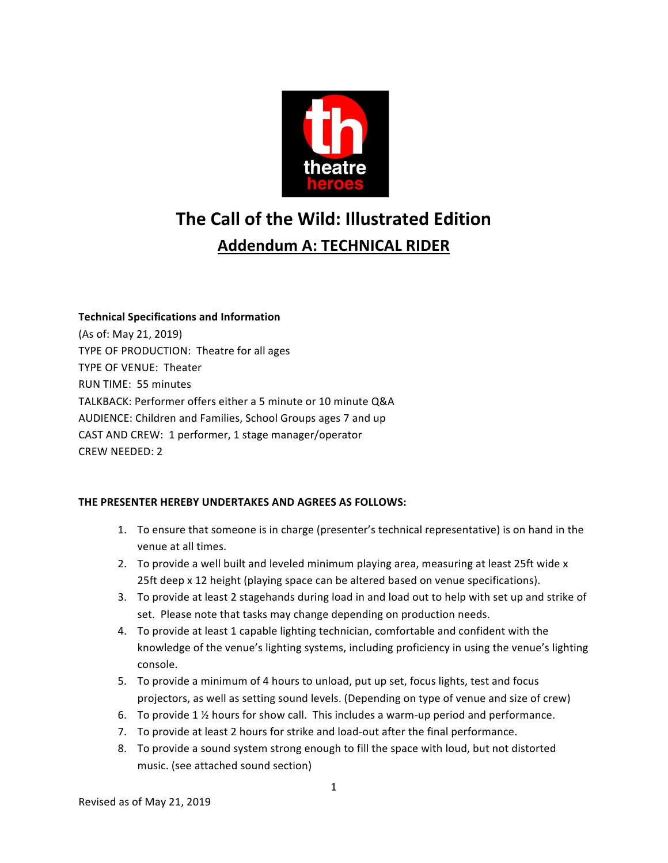

# **The Call of the Wild: Illustrated Edition Addendum A: TECHNICAL RIDER**

**Technical Specifications and Information** (As of: May 21, 2019) TYPE OF PRODUCTION: Theatre for all ages TYPE OF VENUE: Theater RUN TIME: 55 minutes TALKBACK: Performer offers either a 5 minute or 10 minute Q&A AUDIENCE: Children and Families, School Groups ages 7 and up CAST AND CREW: 1 performer, 1 stage manager/operator CREW NEEDED: 2

# **THE PRESENTER HEREBY UNDERTAKES AND AGREES AS FOLLOWS:**

- 1. To ensure that someone is in charge (presenter's technical representative) is on hand in the venue at all times.
- 2. To provide a well built and leveled minimum playing area, measuring at least 25ft wide x 25ft deep x 12 height (playing space can be altered based on venue specifications).
- 3. To provide at least 2 stagehands during load in and load out to help with set up and strike of set. Please note that tasks may change depending on production needs.
- 4. To provide at least 1 capable lighting technician, comfortable and confident with the knowledge of the venue's lighting systems, including proficiency in using the venue's lighting console.
- 5. To provide a minimum of 4 hours to unload, put up set, focus lights, test and focus projectors, as well as setting sound levels. (Depending on type of venue and size of crew)
- 6. To provide  $1\frac{1}{2}$  hours for show call. This includes a warm-up period and performance.
- 7. To provide at least 2 hours for strike and load-out after the final performance.
- 8. To provide a sound system strong enough to fill the space with loud, but not distorted music. (see attached sound section)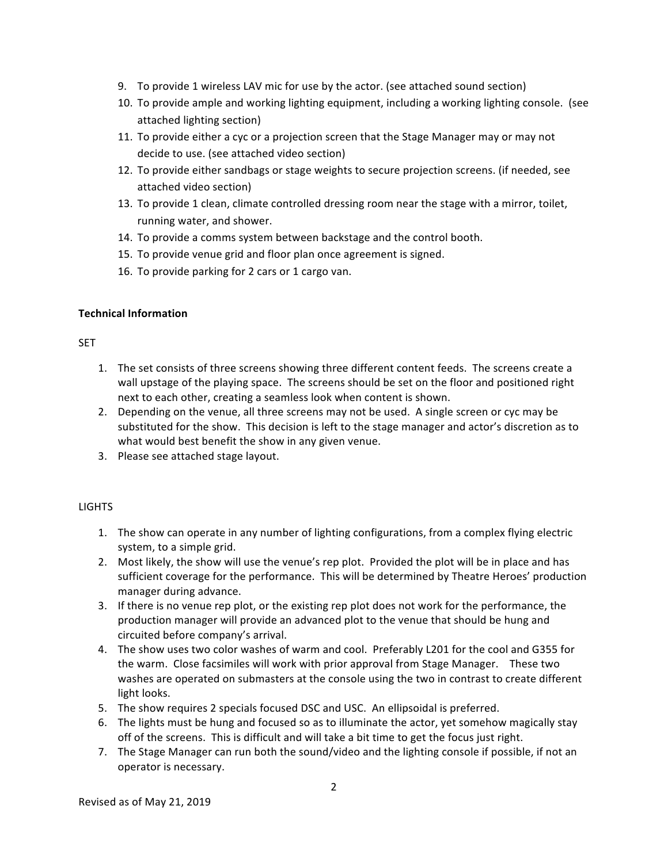- 9. To provide 1 wireless LAV mic for use by the actor. (see attached sound section)
- 10. To provide ample and working lighting equipment, including a working lighting console. (see attached lighting section)
- 11. To provide either a cyc or a projection screen that the Stage Manager may or may not decide to use. (see attached video section)
- 12. To provide either sandbags or stage weights to secure projection screens. (if needed, see attached video section)
- 13. To provide 1 clean, climate controlled dressing room near the stage with a mirror, toilet, running water, and shower.
- 14. To provide a comms system between backstage and the control booth.
- 15. To provide venue grid and floor plan once agreement is signed.
- 16. To provide parking for 2 cars or 1 cargo van.

#### **Technical Information**

#### **SET**

- 1. The set consists of three screens showing three different content feeds. The screens create a wall upstage of the playing space. The screens should be set on the floor and positioned right next to each other, creating a seamless look when content is shown.
- 2. Depending on the venue, all three screens may not be used. A single screen or cyc may be substituted for the show. This decision is left to the stage manager and actor's discretion as to what would best benefit the show in any given venue.
- 3. Please see attached stage layout.

# **LIGHTS**

- 1. The show can operate in any number of lighting configurations, from a complex flying electric system, to a simple grid.
- 2. Most likely, the show will use the venue's rep plot. Provided the plot will be in place and has sufficient coverage for the performance. This will be determined by Theatre Heroes' production manager during advance.
- 3. If there is no venue rep plot, or the existing rep plot does not work for the performance, the production manager will provide an advanced plot to the venue that should be hung and circuited before company's arrival.
- 4. The show uses two color washes of warm and cool. Preferably L201 for the cool and G355 for the warm. Close facsimiles will work with prior approval from Stage Manager. These two washes are operated on submasters at the console using the two in contrast to create different light looks.
- 5. The show requires 2 specials focused DSC and USC. An ellipsoidal is preferred.
- 6. The lights must be hung and focused so as to illuminate the actor, yet somehow magically stay off of the screens. This is difficult and will take a bit time to get the focus just right.
- 7. The Stage Manager can run both the sound/video and the lighting console if possible, if not an operator is necessary.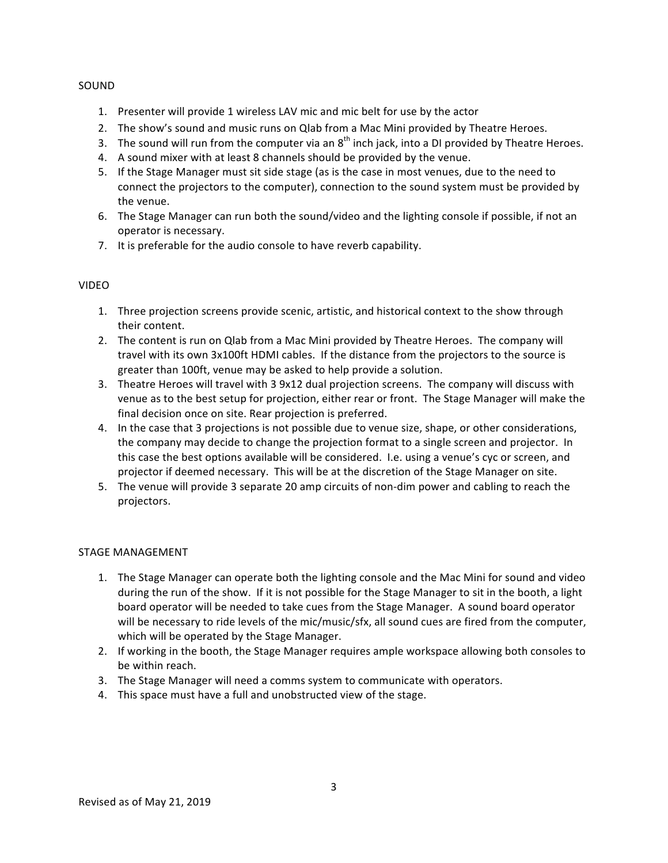#### SOUND

- 1. Presenter will provide 1 wireless LAV mic and mic belt for use by the actor
- 2. The show's sound and music runs on Qlab from a Mac Mini provided by Theatre Heroes.
- 3. The sound will run from the computer via an  $8<sup>th</sup>$  inch jack, into a DI provided by Theatre Heroes.
- 4. A sound mixer with at least 8 channels should be provided by the venue.
- 5. If the Stage Manager must sit side stage (as is the case in most venues, due to the need to connect the projectors to the computer), connection to the sound system must be provided by the venue.
- 6. The Stage Manager can run both the sound/video and the lighting console if possible, if not an operator is necessary.
- 7. It is preferable for the audio console to have reverb capability.

# VIDEO

- 1. Three projection screens provide scenic, artistic, and historical context to the show through their content.
- 2. The content is run on Qlab from a Mac Mini provided by Theatre Heroes. The company will travel with its own 3x100ft HDMI cables. If the distance from the projectors to the source is greater than 100ft, venue may be asked to help provide a solution.
- 3. Theatre Heroes will travel with 3 9x12 dual projection screens. The company will discuss with venue as to the best setup for projection, either rear or front. The Stage Manager will make the final decision once on site. Rear projection is preferred.
- 4. In the case that 3 projections is not possible due to venue size, shape, or other considerations, the company may decide to change the projection format to a single screen and projector. In this case the best options available will be considered. I.e. using a venue's cyc or screen, and projector if deemed necessary. This will be at the discretion of the Stage Manager on site.
- 5. The venue will provide 3 separate 20 amp circuits of non-dim power and cabling to reach the projectors.

# STAGE MANAGEMENT

- 1. The Stage Manager can operate both the lighting console and the Mac Mini for sound and video during the run of the show. If it is not possible for the Stage Manager to sit in the booth, a light board operator will be needed to take cues from the Stage Manager. A sound board operator will be necessary to ride levels of the mic/music/sfx, all sound cues are fired from the computer, which will be operated by the Stage Manager.
- 2. If working in the booth, the Stage Manager requires ample workspace allowing both consoles to be within reach.
- 3. The Stage Manager will need a comms system to communicate with operators.
- 4. This space must have a full and unobstructed view of the stage.